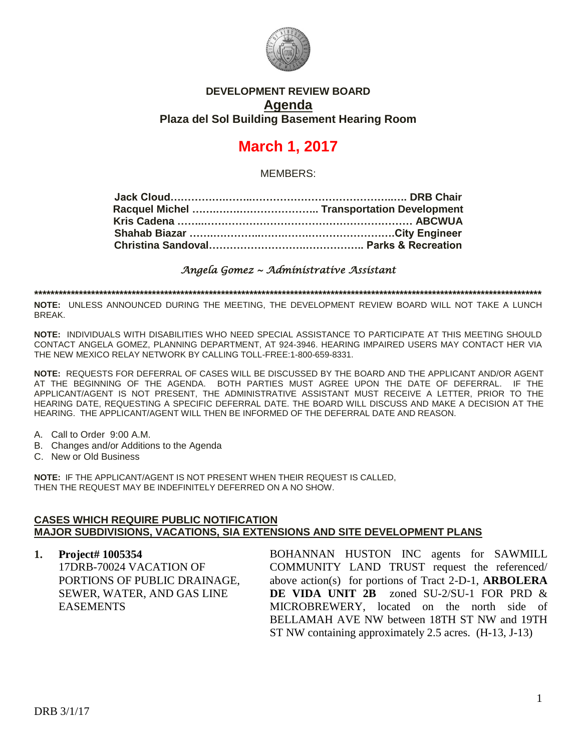

### **DEVELOPMENT REVIEW BOARD Agenda Plaza del Sol Building Basement Hearing Room**

# **March 1, 2017**

MEMBERS:

*Angela Gomez ~ Administrative Assistant* 

**\*\*\*\*\*\*\*\*\*\*\*\*\*\*\*\*\*\*\*\*\*\*\*\*\*\*\*\*\*\*\*\*\*\*\*\*\*\*\*\*\*\*\*\*\*\*\*\*\*\*\*\*\*\*\*\*\*\*\*\*\*\*\*\*\*\*\*\*\*\*\*\*\*\*\*\*\*\*\*\*\*\*\*\*\*\*\*\*\*\*\*\*\*\*\*\*\*\*\*\*\*\*\*\*\*\*\*\*\*\*\*\*\*\*\*\*\*\*\*\*\*\*\*\*\***

**NOTE:** UNLESS ANNOUNCED DURING THE MEETING, THE DEVELOPMENT REVIEW BOARD WILL NOT TAKE A LUNCH BREAK.

**NOTE:** INDIVIDUALS WITH DISABILITIES WHO NEED SPECIAL ASSISTANCE TO PARTICIPATE AT THIS MEETING SHOULD CONTACT ANGELA GOMEZ, PLANNING DEPARTMENT, AT 924-3946. HEARING IMPAIRED USERS MAY CONTACT HER VIA THE NEW MEXICO RELAY NETWORK BY CALLING TOLL-FREE:1-800-659-8331.

**NOTE:** REQUESTS FOR DEFERRAL OF CASES WILL BE DISCUSSED BY THE BOARD AND THE APPLICANT AND/OR AGENT AT THE BEGINNING OF THE AGENDA. BOTH PARTIES MUST AGREE UPON THE DATE OF DEFERRAL. IF THE APPLICANT/AGENT IS NOT PRESENT, THE ADMINISTRATIVE ASSISTANT MUST RECEIVE A LETTER, PRIOR TO THE HEARING DATE, REQUESTING A SPECIFIC DEFERRAL DATE. THE BOARD WILL DISCUSS AND MAKE A DECISION AT THE HEARING. THE APPLICANT/AGENT WILL THEN BE INFORMED OF THE DEFERRAL DATE AND REASON.

- A. Call to Order 9:00 A.M.
- B. Changes and/or Additions to the Agenda
- C. New or Old Business

**NOTE:** IF THE APPLICANT/AGENT IS NOT PRESENT WHEN THEIR REQUEST IS CALLED, THEN THE REQUEST MAY BE INDEFINITELY DEFERRED ON A NO SHOW.

#### **CASES WHICH REQUIRE PUBLIC NOTIFICATION MAJOR SUBDIVISIONS, VACATIONS, SIA EXTENSIONS AND SITE DEVELOPMENT PLANS**

**1. Project# 1005354** 17DRB-70024 VACATION OF PORTIONS OF PUBLIC DRAINAGE, SEWER, WATER, AND GAS LINE EASEMENTS

BOHANNAN HUSTON INC agents for SAWMILL COMMUNITY LAND TRUST request the referenced/ above action(s) for portions of Tract 2-D-1, **ARBOLERA DE VIDA UNIT 2B** zoned SU-2/SU-1 FOR PRD & MICROBREWERY, located on the north side of BELLAMAH AVE NW between 18TH ST NW and 19TH ST NW containing approximately 2.5 acres. (H-13, J-13)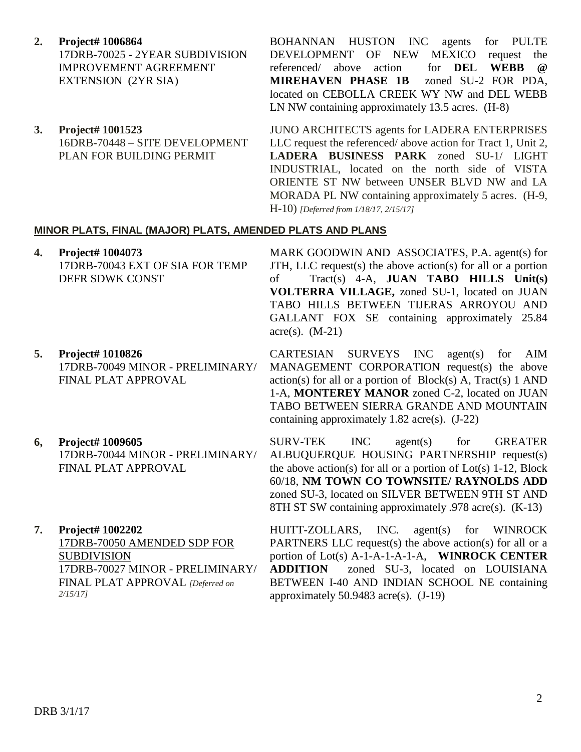**2. Project# 1006864**

17DRB-70025 - 2YEAR SUBDIVISION IMPROVEMENT AGREEMENT EXTENSION (2YR SIA)

**3. Project# 1001523** 16DRB-70448 – SITE DEVELOPMENT PLAN FOR BUILDING PERMIT

BOHANNAN HUSTON INC agents for PULTE DEVELOPMENT OF NEW MEXICO request the referenced/ above action for **DEL WEBB @ MIREHAVEN PHASE 1B** zoned SU-2 FOR PDA, located on CEBOLLA CREEK WY NW and DEL WEBB LN NW containing approximately 13.5 acres. (H-8)

JUNO ARCHITECTS agents for LADERA ENTERPRISES LLC request the referenced/ above action for Tract 1, Unit 2, **LADERA BUSINESS PARK** zoned SU-1/ LIGHT INDUSTRIAL, located on the north side of VISTA ORIENTE ST NW between UNSER BLVD NW and LA MORADA PL NW containing approximately 5 acres. (H-9, H-10) *[Deferred from 1/18/17, 2/15/17]*

#### **MINOR PLATS, FINAL (MAJOR) PLATS, AMENDED PLATS AND PLANS**

- **4. Project# 1004073** 17DRB-70043 EXT OF SIA FOR TEMP DEFR SDWK CONST MARK GOODWIN AND ASSOCIATES, P.A. agent(s) for JTH, LLC request(s) the above action(s) for all or a portion of Tract(s) 4-A, **JUAN TABO HILLS Unit(s) VOLTERRA VILLAGE,** zoned SU-1, located on JUAN TABO HILLS BETWEEN TIJERAS ARROYOU AND GALLANT FOX SE containing approximately 25.84 acre(s).  $(M-21)$
- **5. Project# 1010826** 17DRB-70049 MINOR - PRELIMINARY/ FINAL PLAT APPROVAL CARTESIAN SURVEYS INC agent(s) for AIM MANAGEMENT CORPORATION request(s) the above action(s) for all or a portion of  $Block(s)$  A, Tract(s) 1 AND 1-A, **MONTEREY MANOR** zoned C-2, located on JUAN TABO BETWEEN SIERRA GRANDE AND MOUNTAIN containing approximately 1.82 acre(s). (J-22)
- **6, Project# 1009605** 17DRB-70044 MINOR - PRELIMINARY/ FINAL PLAT APPROVAL
- **7. Project# 1002202** 17DRB-70050 AMENDED SDP FOR SUBDIVISION 17DRB-70027 MINOR - PRELIMINARY/ FINAL PLAT APPROVAL *[Deferred on 2/15/17]*

SURV-TEK INC agent(s) for GREATER ALBUQUERQUE HOUSING PARTNERSHIP request(s) the above action(s) for all or a portion of  $Lot(s)$  1-12, Block 60/18, **NM TOWN CO TOWNSITE/ RAYNOLDS ADD** zoned SU-3, located on SILVER BETWEEN 9TH ST AND 8TH ST SW containing approximately .978 acre(s). (K-13)

HUITT-ZOLLARS, INC. agent(s) for WINROCK PARTNERS LLC request(s) the above action(s) for all or a portion of Lot(s) A-1-A-1-A-1-A, **WINROCK CENTER ADDITION** zoned SU-3, located on LOUISIANA BETWEEN I-40 AND INDIAN SCHOOL NE containing approximately 50.9483 acre(s). (J-19)